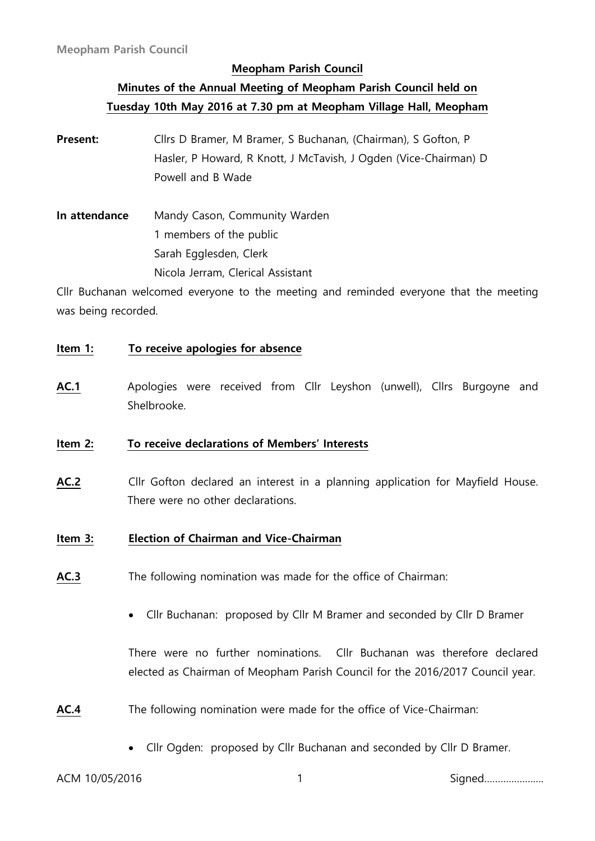# **Minutes of the Annual Meeting of Meopham Parish Council held on Tuesday 10th May 2016 at 7.30 pm at Meopham Village Hall, Meopham**

- **Present:** Cllrs D Bramer, M Bramer, S Buchanan, (Chairman), S Gofton, P Hasler, P Howard, R Knott, J McTavish, J Ogden (Vice-Chairman) D Powell and B Wade
- **In attendance** Mandy Cason, Community Warden 1 members of the public Sarah Egglesden, Clerk Nicola Jerram, Clerical Assistant

Cllr Buchanan welcomed everyone to the meeting and reminded everyone that the meeting was being recorded.

#### **Item 1: To receive apologies for absence**

**AC.1** Apologies were received from Cllr Leyshon (unwell), Cllrs Burgoyne and Shelbrooke.

#### **Item 2: To receive declarations of Members' Interests**

**AC.2** Cllr Gofton declared an interest in a planning application for Mayfield House. There were no other declarations.

#### **Item 3: Election of Chairman and Vice-Chairman**

- **AC.3** The following nomination was made for the office of Chairman:
	- Cllr Buchanan: proposed by Cllr M Bramer and seconded by Cllr D Bramer

There were no further nominations. Cllr Buchanan was therefore declared elected as Chairman of Meopham Parish Council for the 2016/2017 Council year.

- **AC.4** The following nomination were made for the office of Vice-Chairman:
	- Cllr Ogden: proposed by Cllr Buchanan and seconded by Cllr D Bramer.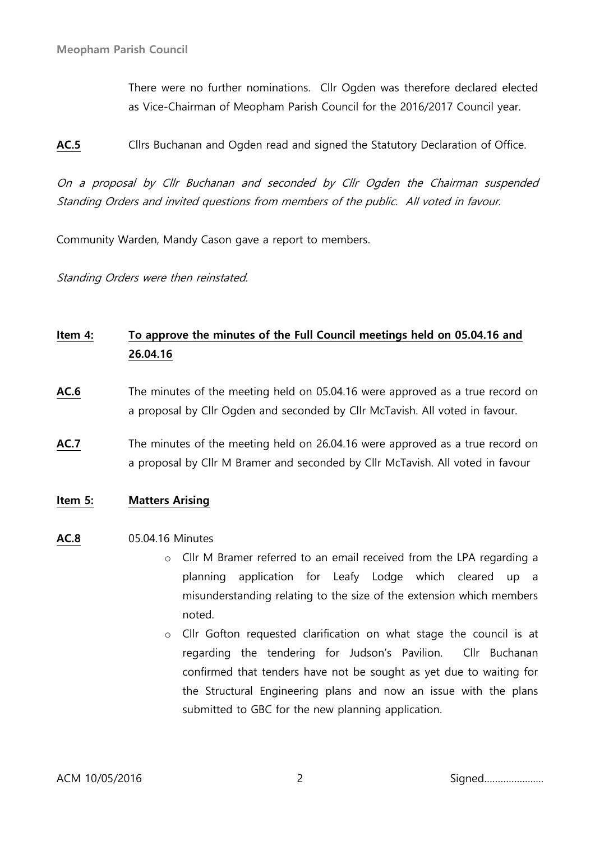There were no further nominations. Cllr Ogden was therefore declared elected as Vice-Chairman of Meopham Parish Council for the 2016/2017 Council year.

**AC.5** Cllrs Buchanan and Ogden read and signed the Statutory Declaration of Office.

On a proposal by Cllr Buchanan and seconded by Cllr Ogden the Chairman suspended Standing Orders and invited questions from members of the public. All voted in favour.

Community Warden, Mandy Cason gave a report to members.

Standing Orders were then reinstated.

# **Item 4: To approve the minutes of the Full Council meetings held on 05.04.16 and 26.04.16**

- **AC.6** The minutes of the meeting held on 05.04.16 were approved as a true record on a proposal by Cllr Ogden and seconded by Cllr McTavish. All voted in favour.
- **AC.7** The minutes of the meeting held on 26.04.16 were approved as a true record on a proposal by Cllr M Bramer and seconded by Cllr McTavish. All voted in favour
- **Item 5: Matters Arising**

#### **AC.8** 05.04.16 Minutes

- o Cllr M Bramer referred to an email received from the LPA regarding a planning application for Leafy Lodge which cleared up a misunderstanding relating to the size of the extension which members noted.
- o Cllr Gofton requested clarification on what stage the council is at regarding the tendering for Judson's Pavilion. Cllr Buchanan confirmed that tenders have not be sought as yet due to waiting for the Structural Engineering plans and now an issue with the plans submitted to GBC for the new planning application.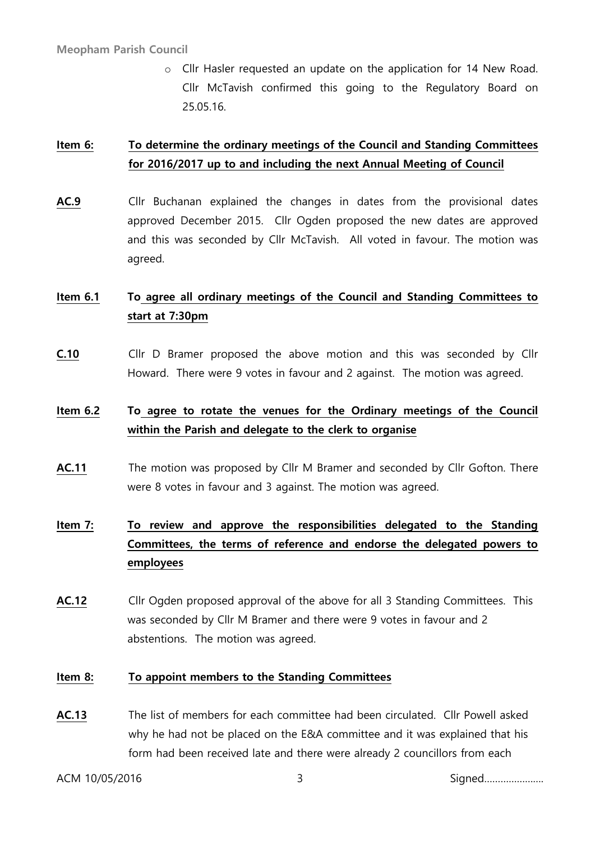o Cllr Hasler requested an update on the application for 14 New Road. Cllr McTavish confirmed this going to the Regulatory Board on 25.05.16.

# **Item 6: To determine the ordinary meetings of the Council and Standing Committees for 2016/2017 up to and including the next Annual Meeting of Council**

**AC.9** Cllr Buchanan explained the changes in dates from the provisional dates approved December 2015. Cllr Ogden proposed the new dates are approved and this was seconded by Cllr McTavish. All voted in favour. The motion was agreed.

# **Item 6.1 To agree all ordinary meetings of the Council and Standing Committees to start at 7:30pm**

**C.10** Cllr D Bramer proposed the above motion and this was seconded by Cllr Howard. There were 9 votes in favour and 2 against. The motion was agreed.

# **Item 6.2 To agree to rotate the venues for the Ordinary meetings of the Council within the Parish and delegate to the clerk to organise**

**AC.11** The motion was proposed by Cllr M Bramer and seconded by Cllr Gofton. There were 8 votes in favour and 3 against. The motion was agreed.

# **Item 7: To review and approve the responsibilities delegated to the Standing Committees, the terms of reference and endorse the delegated powers to employees**

**AC.12** Cllr Ogden proposed approval of the above for all 3 Standing Committees. This was seconded by Cllr M Bramer and there were 9 votes in favour and 2 abstentions. The motion was agreed.

### **Item 8: To appoint members to the Standing Committees**

**AC.13** The list of members for each committee had been circulated. Cllr Powell asked why he had not be placed on the E&A committee and it was explained that his form had been received late and there were already 2 councillors from each

ACM 10/05/2016 3 Signed………………….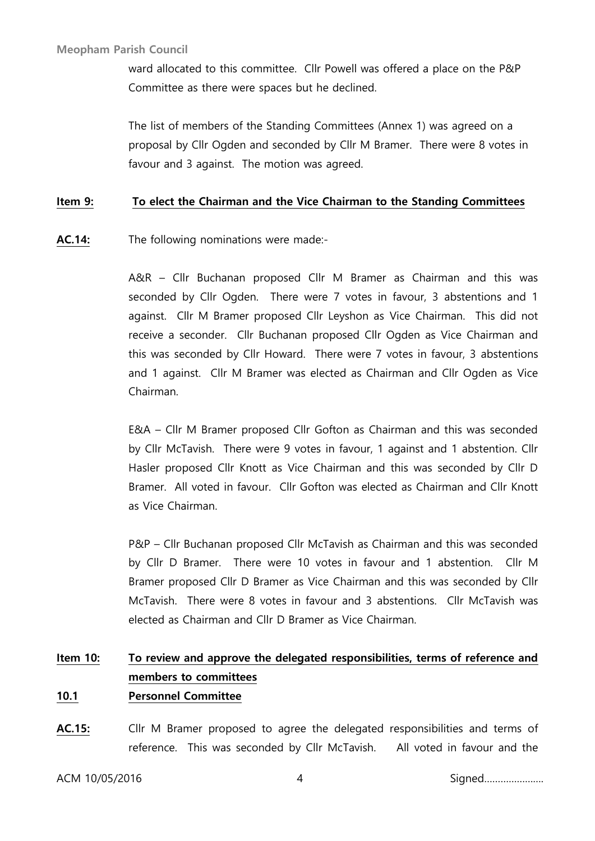ward allocated to this committee. Cllr Powell was offered a place on the P&P Committee as there were spaces but he declined.

The list of members of the Standing Committees (Annex 1) was agreed on a proposal by Cllr Ogden and seconded by Cllr M Bramer. There were 8 votes in favour and 3 against. The motion was agreed.

### **Item 9: To elect the Chairman and the Vice Chairman to the Standing Committees**

**AC.14:** The following nominations were made:-

A&R – Cllr Buchanan proposed Cllr M Bramer as Chairman and this was seconded by Cllr Ogden. There were 7 votes in favour, 3 abstentions and 1 against. Cllr M Bramer proposed Cllr Leyshon as Vice Chairman. This did not receive a seconder. Cllr Buchanan proposed Cllr Ogden as Vice Chairman and this was seconded by Cllr Howard. There were 7 votes in favour, 3 abstentions and 1 against. Cllr M Bramer was elected as Chairman and Cllr Ogden as Vice Chairman.

E&A – Cllr M Bramer proposed Cllr Gofton as Chairman and this was seconded by Cllr McTavish. There were 9 votes in favour, 1 against and 1 abstention. Cllr Hasler proposed Cllr Knott as Vice Chairman and this was seconded by Cllr D Bramer. All voted in favour. Cllr Gofton was elected as Chairman and Cllr Knott as Vice Chairman.

P&P – Cllr Buchanan proposed Cllr McTavish as Chairman and this was seconded by Cllr D Bramer. There were 10 votes in favour and 1 abstention. Cllr M Bramer proposed Cllr D Bramer as Vice Chairman and this was seconded by Cllr McTavish. There were 8 votes in favour and 3 abstentions. Cllr McTavish was elected as Chairman and Cllr D Bramer as Vice Chairman.

# **Item 10: To review and approve the delegated responsibilities, terms of reference and members to committees**

- **10.1 Personnel Committee**
- **AC.15:** Cllr M Bramer proposed to agree the delegated responsibilities and terms of reference. This was seconded by Cllr McTavish. All voted in favour and the

ACM 10/05/2016 4 Signed………………….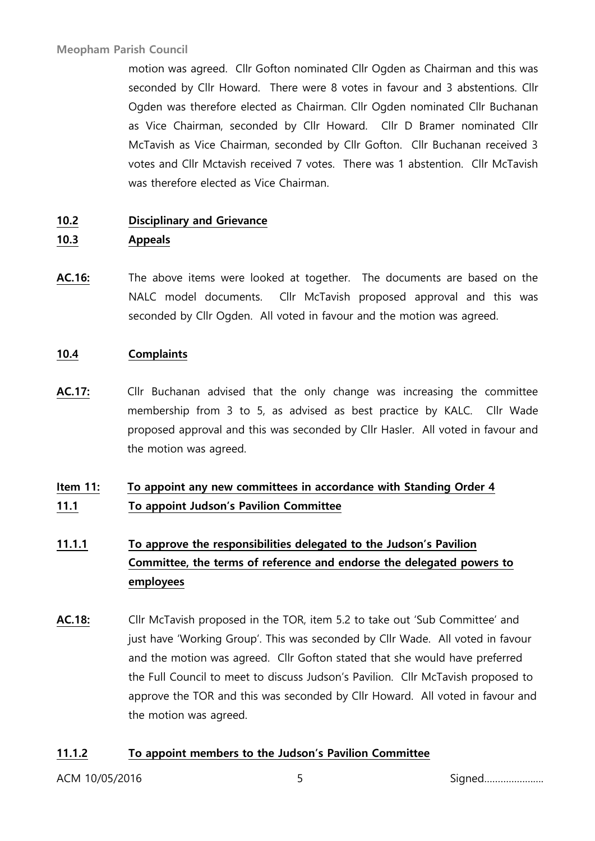motion was agreed. Cllr Gofton nominated Cllr Ogden as Chairman and this was seconded by Cllr Howard. There were 8 votes in favour and 3 abstentions. Cllr Ogden was therefore elected as Chairman. Cllr Ogden nominated Cllr Buchanan as Vice Chairman, seconded by Cllr Howard. Cllr D Bramer nominated Cllr McTavish as Vice Chairman, seconded by Cllr Gofton. Cllr Buchanan received 3 votes and Cllr Mctavish received 7 votes. There was 1 abstention. Cllr McTavish was therefore elected as Vice Chairman.

### **10.2 Disciplinary and Grievance**

### **10.3 Appeals**

**AC.16:** The above items were looked at together. The documents are based on the NALC model documents. Cllr McTavish proposed approval and this was seconded by Cllr Ogden. All voted in favour and the motion was agreed.

### **10.4 Complaints**

**AC.17:** Cllr Buchanan advised that the only change was increasing the committee membership from 3 to 5, as advised as best practice by KALC. Cllr Wade proposed approval and this was seconded by Cllr Hasler. All voted in favour and the motion was agreed.

# **Item 11: To appoint any new committees in accordance with Standing Order 4 11.1 To appoint Judson's Pavilion Committee**

# **11.1.1 To approve the responsibilities delegated to the Judson's Pavilion Committee, the terms of reference and endorse the delegated powers to employees**

**AC.18:** Cllr McTavish proposed in the TOR, item 5.2 to take out 'Sub Committee' and just have 'Working Group'. This was seconded by Cllr Wade. All voted in favour and the motion was agreed. Cllr Gofton stated that she would have preferred the Full Council to meet to discuss Judson's Pavilion. Cllr McTavish proposed to approve the TOR and this was seconded by Cllr Howard. All voted in favour and the motion was agreed.

### **11.1.2 To appoint members to the Judson's Pavilion Committee**

ACM 10/05/2016 5 Signed………………….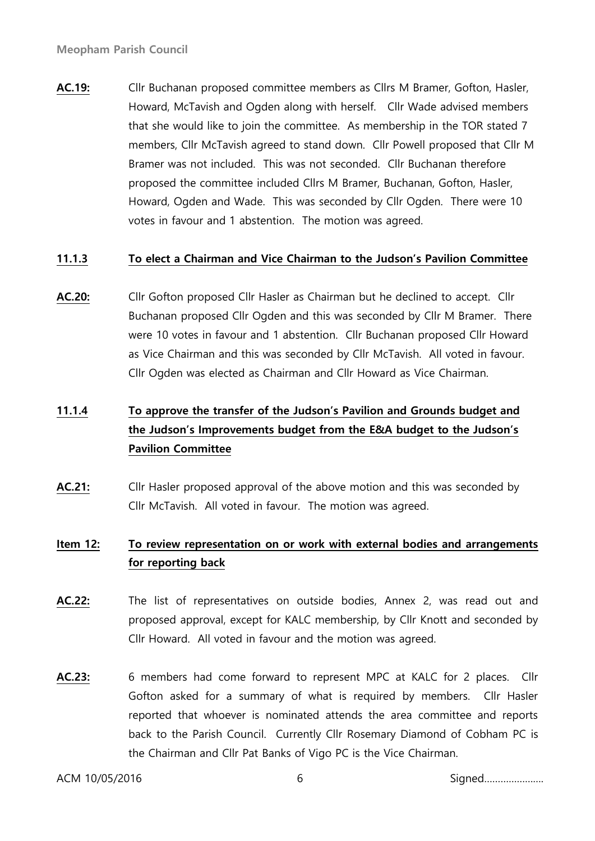**AC.19:** Cllr Buchanan proposed committee members as Cllrs M Bramer, Gofton, Hasler, Howard, McTavish and Ogden along with herself. Cllr Wade advised members that she would like to join the committee. As membership in the TOR stated 7 members, Cllr McTavish agreed to stand down. Cllr Powell proposed that Cllr M Bramer was not included. This was not seconded. Cllr Buchanan therefore proposed the committee included Cllrs M Bramer, Buchanan, Gofton, Hasler, Howard, Ogden and Wade. This was seconded by Cllr Ogden. There were 10 votes in favour and 1 abstention. The motion was agreed.

### **11.1.3 To elect a Chairman and Vice Chairman to the Judson's Pavilion Committee**

**AC.20:** Cllr Gofton proposed Cllr Hasler as Chairman but he declined to accept. Cllr Buchanan proposed Cllr Ogden and this was seconded by Cllr M Bramer. There were 10 votes in favour and 1 abstention. Cllr Buchanan proposed Cllr Howard as Vice Chairman and this was seconded by Cllr McTavish. All voted in favour. Cllr Ogden was elected as Chairman and Cllr Howard as Vice Chairman.

# **11.1.4 To approve the transfer of the Judson's Pavilion and Grounds budget and the Judson's Improvements budget from the E&A budget to the Judson's Pavilion Committee**

**AC.21:** Cllr Hasler proposed approval of the above motion and this was seconded by Cllr McTavish. All voted in favour. The motion was agreed.

# **Item 12: To review representation on or work with external bodies and arrangements for reporting back**

- **AC.22:** The list of representatives on outside bodies, Annex 2, was read out and proposed approval, except for KALC membership, by Cllr Knott and seconded by Cllr Howard. All voted in favour and the motion was agreed.
- **AC.23:** 6 members had come forward to represent MPC at KALC for 2 places. Cllr Gofton asked for a summary of what is required by members. Cllr Hasler reported that whoever is nominated attends the area committee and reports back to the Parish Council. Currently Cllr Rosemary Diamond of Cobham PC is the Chairman and Cllr Pat Banks of Vigo PC is the Vice Chairman.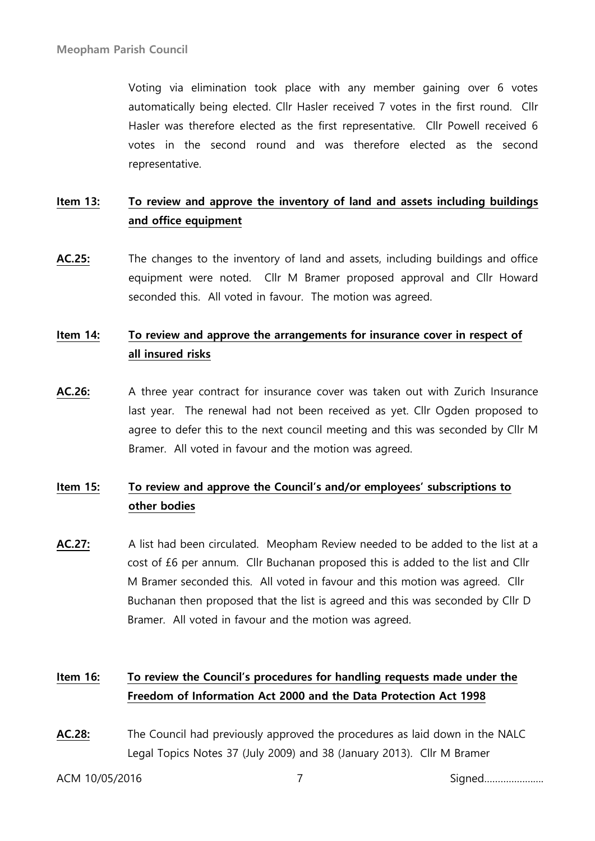Voting via elimination took place with any member gaining over 6 votes automatically being elected. Cllr Hasler received 7 votes in the first round. Cllr Hasler was therefore elected as the first representative. Cllr Powell received 6 votes in the second round and was therefore elected as the second representative.

# **Item 13: To review and approve the inventory of land and assets including buildings and office equipment**

**AC.25:** The changes to the inventory of land and assets, including buildings and office equipment were noted. Cllr M Bramer proposed approval and Cllr Howard seconded this. All voted in favour. The motion was agreed.

# **Item 14: To review and approve the arrangements for insurance cover in respect of all insured risks**

**AC.26:** A three year contract for insurance cover was taken out with Zurich Insurance last year. The renewal had not been received as yet. Cllr Ogden proposed to agree to defer this to the next council meeting and this was seconded by Cllr M Bramer. All voted in favour and the motion was agreed.

# **Item 15: To review and approve the Council's and/or employees' subscriptions to other bodies**

**AC.27:** A list had been circulated. Meopham Review needed to be added to the list at a cost of £6 per annum. Cllr Buchanan proposed this is added to the list and Cllr M Bramer seconded this. All voted in favour and this motion was agreed. Cllr Buchanan then proposed that the list is agreed and this was seconded by Cllr D Bramer. All voted in favour and the motion was agreed.

# **Item 16: To review the Council's procedures for handling requests made under the Freedom of Information Act 2000 and the Data Protection Act 1998**

**AC.28:** The Council had previously approved the procedures as laid down in the NALC Legal Topics Notes 37 (July 2009) and 38 (January 2013). Cllr M Bramer

ACM 10/05/2016 7 Signed………………….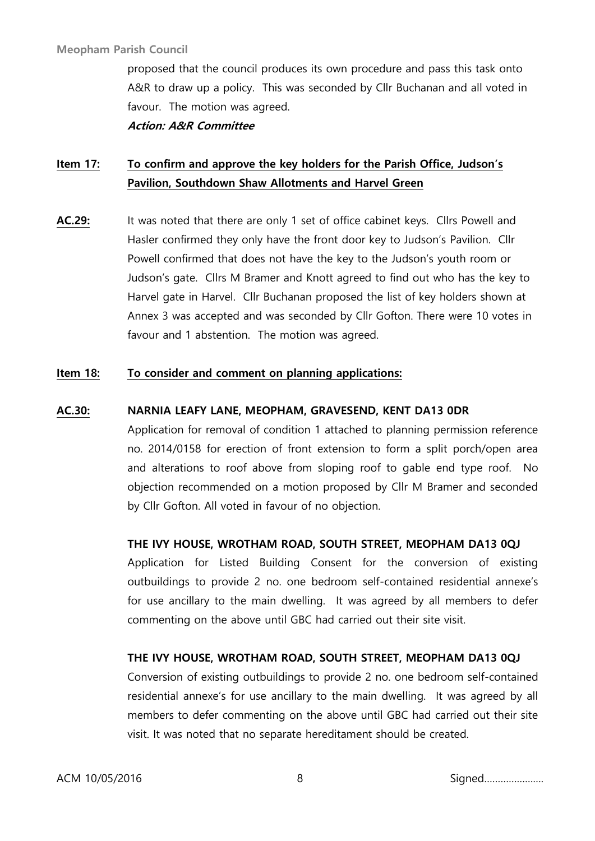proposed that the council produces its own procedure and pass this task onto A&R to draw up a policy. This was seconded by Cllr Buchanan and all voted in favour. The motion was agreed.

**Action: A&R Committee**

# **Item 17: To confirm and approve the key holders for the Parish Office, Judson's Pavilion, Southdown Shaw Allotments and Harvel Green**

**AC.29:** It was noted that there are only 1 set of office cabinet keys. Cllrs Powell and Hasler confirmed they only have the front door key to Judson's Pavilion. Cllr Powell confirmed that does not have the key to the Judson's youth room or Judson's gate. Cllrs M Bramer and Knott agreed to find out who has the key to Harvel gate in Harvel. Cllr Buchanan proposed the list of key holders shown at Annex 3 was accepted and was seconded by Cllr Gofton. There were 10 votes in favour and 1 abstention. The motion was agreed.

### **Item 18: To consider and comment on planning applications:**

### **AC.30: NARNIA LEAFY LANE, MEOPHAM, GRAVESEND, KENT DA13 0DR**

Application for removal of condition 1 attached to planning permission reference no. 2014/0158 for erection of front extension to form a split porch/open area and alterations to roof above from sloping roof to gable end type roof. No objection recommended on a motion proposed by Cllr M Bramer and seconded by Cllr Gofton. All voted in favour of no objection.

### **THE IVY HOUSE, WROTHAM ROAD, SOUTH STREET, MEOPHAM DA13 0QJ**

Application for Listed Building Consent for the conversion of existing outbuildings to provide 2 no. one bedroom self-contained residential annexe's for use ancillary to the main dwelling. It was agreed by all members to defer commenting on the above until GBC had carried out their site visit.

### **THE IVY HOUSE, WROTHAM ROAD, SOUTH STREET, MEOPHAM DA13 0QJ**

Conversion of existing outbuildings to provide 2 no. one bedroom self-contained residential annexe's for use ancillary to the main dwelling. It was agreed by all members to defer commenting on the above until GBC had carried out their site visit. It was noted that no separate hereditament should be created.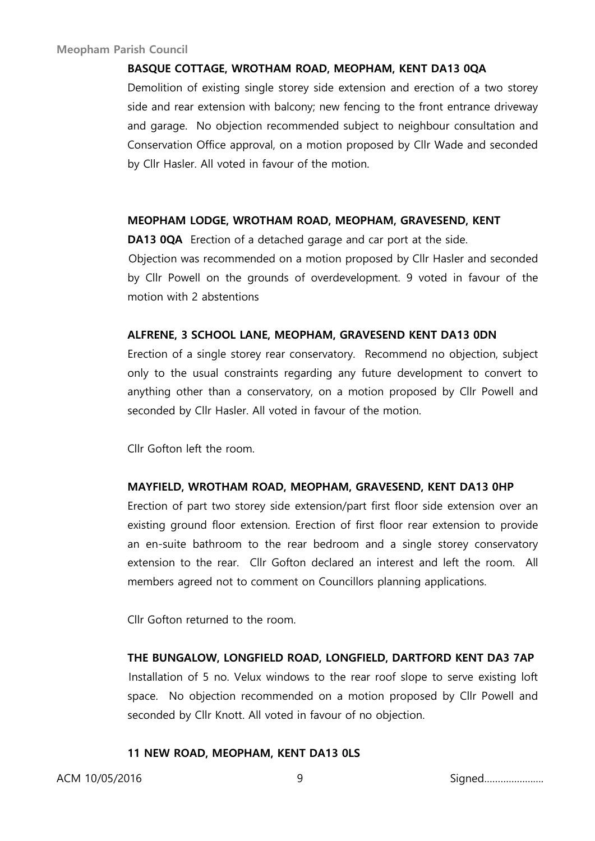#### **BASQUE COTTAGE, WROTHAM ROAD, MEOPHAM, KENT DA13 0QA**

Demolition of existing single storey side extension and erection of a two storey side and rear extension with balcony; new fencing to the front entrance driveway and garage. No objection recommended subject to neighbour consultation and Conservation Office approval, on a motion proposed by Cllr Wade and seconded by Cllr Hasler. All voted in favour of the motion.

#### **MEOPHAM LODGE, WROTHAM ROAD, MEOPHAM, GRAVESEND, KENT**

**DA13 0QA** Erection of a detached garage and car port at the side.

Objection was recommended on a motion proposed by Cllr Hasler and seconded by Cllr Powell on the grounds of overdevelopment. 9 voted in favour of the motion with 2 abstentions

#### **ALFRENE, 3 SCHOOL LANE, MEOPHAM, GRAVESEND KENT DA13 0DN**

Erection of a single storey rear conservatory. Recommend no objection, subject only to the usual constraints regarding any future development to convert to anything other than a conservatory, on a motion proposed by Cllr Powell and seconded by Cllr Hasler. All voted in favour of the motion.

Cllr Gofton left the room.

#### **MAYFIELD, WROTHAM ROAD, MEOPHAM, GRAVESEND, KENT DA13 0HP**

Erection of part two storey side extension/part first floor side extension over an existing ground floor extension. Erection of first floor rear extension to provide an en-suite bathroom to the rear bedroom and a single storey conservatory extension to the rear. Cllr Gofton declared an interest and left the room. All members agreed not to comment on Councillors planning applications.

Cllr Gofton returned to the room.

#### **THE BUNGALOW, LONGFIELD ROAD, LONGFIELD, DARTFORD KENT DA3 7AP**

Installation of 5 no. Velux windows to the rear roof slope to serve existing loft space. No objection recommended on a motion proposed by Cllr Powell and seconded by Cllr Knott. All voted in favour of no objection.

#### **11 NEW ROAD, MEOPHAM, KENT DA13 0LS**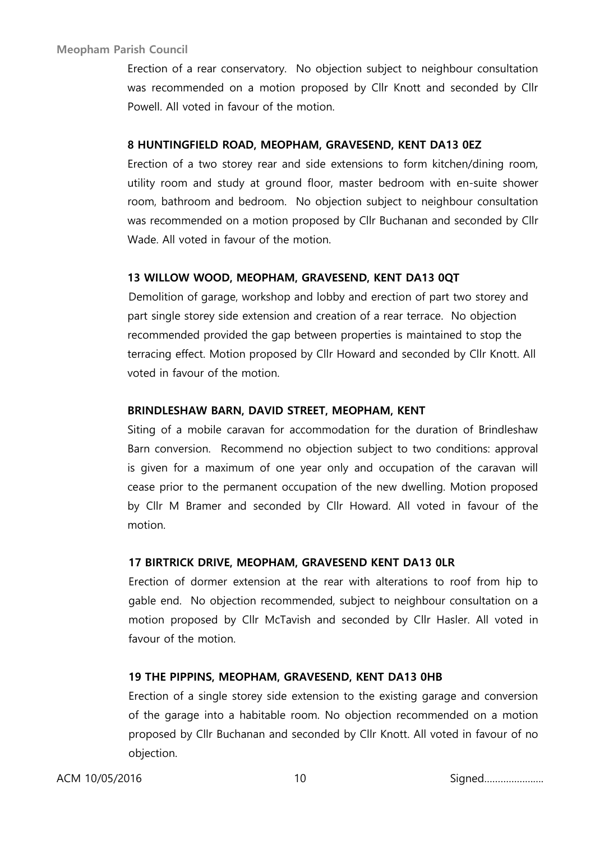Erection of a rear conservatory. No objection subject to neighbour consultation was recommended on a motion proposed by Cllr Knott and seconded by Cllr Powell. All voted in favour of the motion.

### **8 HUNTINGFIELD ROAD, MEOPHAM, GRAVESEND, KENT DA13 0EZ**

Erection of a two storey rear and side extensions to form kitchen/dining room, utility room and study at ground floor, master bedroom with en-suite shower room, bathroom and bedroom. No objection subject to neighbour consultation was recommended on a motion proposed by Cllr Buchanan and seconded by Cllr Wade. All voted in favour of the motion.

### **13 WILLOW WOOD, MEOPHAM, GRAVESEND, KENT DA13 0QT**

Demolition of garage, workshop and lobby and erection of part two storey and part single storey side extension and creation of a rear terrace. No objection recommended provided the gap between properties is maintained to stop the terracing effect. Motion proposed by Cllr Howard and seconded by Cllr Knott. All voted in favour of the motion.

### **BRINDLESHAW BARN, DAVID STREET, MEOPHAM, KENT**

Siting of a mobile caravan for accommodation for the duration of Brindleshaw Barn conversion. Recommend no objection subject to two conditions: approval is given for a maximum of one year only and occupation of the caravan will cease prior to the permanent occupation of the new dwelling. Motion proposed by Cllr M Bramer and seconded by Cllr Howard. All voted in favour of the motion.

### **17 BIRTRICK DRIVE, MEOPHAM, GRAVESEND KENT DA13 0LR**

Erection of dormer extension at the rear with alterations to roof from hip to gable end. No objection recommended, subject to neighbour consultation on a motion proposed by Cllr McTavish and seconded by Cllr Hasler. All voted in favour of the motion.

### **19 THE PIPPINS, MEOPHAM, GRAVESEND, KENT DA13 0HB**

Erection of a single storey side extension to the existing garage and conversion of the garage into a habitable room. No objection recommended on a motion proposed by Cllr Buchanan and seconded by Cllr Knott. All voted in favour of no objection.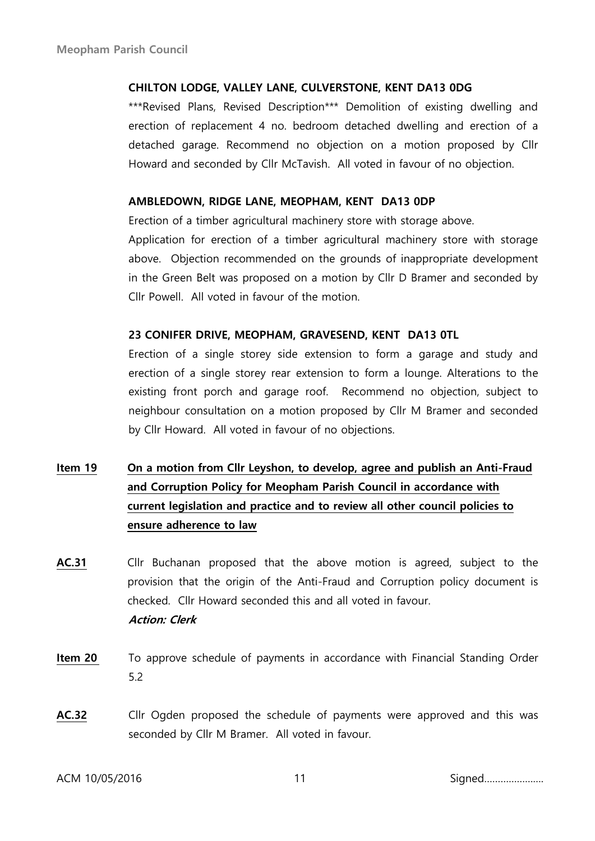### **CHILTON LODGE, VALLEY LANE, CULVERSTONE, KENT DA13 0DG**

\*\*\*Revised Plans, Revised Description\*\*\* Demolition of existing dwelling and erection of replacement 4 no. bedroom detached dwelling and erection of a detached garage. Recommend no objection on a motion proposed by Cllr Howard and seconded by Cllr McTavish. All voted in favour of no objection.

### **AMBLEDOWN, RIDGE LANE, MEOPHAM, KENT DA13 0DP**

Erection of a timber agricultural machinery store with storage above.

Application for erection of a timber agricultural machinery store with storage above. Objection recommended on the grounds of inappropriate development in the Green Belt was proposed on a motion by Cllr D Bramer and seconded by Cllr Powell. All voted in favour of the motion.

### **23 CONIFER DRIVE, MEOPHAM, GRAVESEND, KENT DA13 0TL**

Erection of a single storey side extension to form a garage and study and erection of a single storey rear extension to form a lounge. Alterations to the existing front porch and garage roof. Recommend no objection, subject to neighbour consultation on a motion proposed by Cllr M Bramer and seconded by Cllr Howard. All voted in favour of no objections.

# **Item 19 On a motion from Cllr Leyshon, to develop, agree and publish an Anti-Fraud and Corruption Policy for Meopham Parish Council in accordance with current legislation and practice and to review all other council policies to ensure adherence to law**

- **AC.31** Cllr Buchanan proposed that the above motion is agreed, subject to the provision that the origin of the Anti-Fraud and Corruption policy document is checked. Cllr Howard seconded this and all voted in favour. **Action: Clerk**
- **Item 20** To approve schedule of payments in accordance with Financial Standing Order 5.2
- **AC.32** Cllr Ogden proposed the schedule of payments were approved and this was seconded by Cllr M Bramer. All voted in favour.

ACM 10/05/2016 11 Signed………………….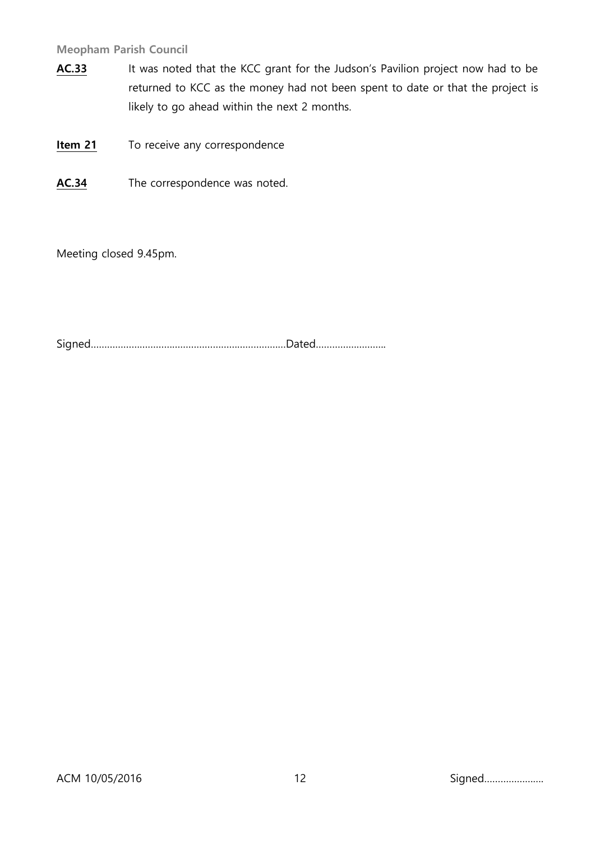- AC.33 It was noted that the KCC grant for the Judson's Pavilion project now had to be returned to KCC as the money had not been spent to date or that the project is likely to go ahead within the next 2 months.
- **Item 21** To receive any correspondence
- **AC.34** The correspondence was noted.

Meeting closed 9.45pm.

Signed………………………………………………………………Dated……………………..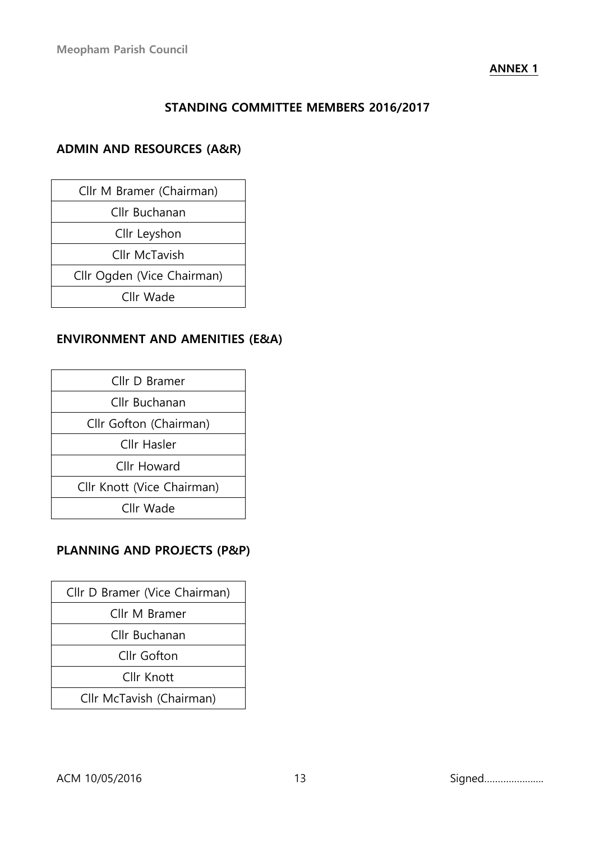### **ANNEX 1**

# **STANDING COMMITTEE MEMBERS 2016/2017**

# **ADMIN AND RESOURCES (A&R)**

| Cllr M Bramer (Chairman)   |  |
|----------------------------|--|
| Cllr Buchanan              |  |
| Cllr Leyshon               |  |
| Cllr McTavish              |  |
| Cllr Ogden (Vice Chairman) |  |
| Cllr Wade                  |  |
|                            |  |

# **ENVIRONMENT AND AMENITIES (E&A)**

| Cllr D Bramer              |
|----------------------------|
| Cllr Buchanan              |
| Cllr Gofton (Chairman)     |
| Cllr Hasler                |
| Cllr Howard                |
| Cllr Knott (Vice Chairman) |
| Cllr Wade                  |

# **PLANNING AND PROJECTS (P&P)**

| Cllr D Bramer (Vice Chairman) |
|-------------------------------|
| Cllr M Bramer                 |
| Cllr Buchanan                 |
| Cllr Gofton                   |
| Cllr Knott                    |
| Cllr McTavish (Chairman)      |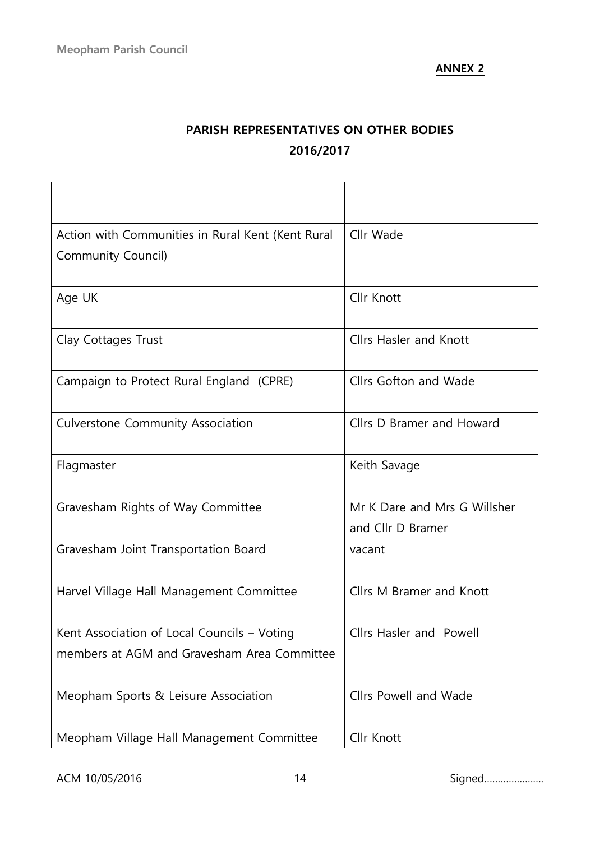# **PARISH REPRESENTATIVES ON OTHER BODIES 2016/2017**

| Action with Communities in Rural Kent (Kent Rural | Cllr Wade                     |
|---------------------------------------------------|-------------------------------|
| Community Council)                                |                               |
|                                                   |                               |
| Age UK                                            | Cllr Knott                    |
| Clay Cottages Trust                               | <b>Cllrs Hasler and Knott</b> |
| Campaign to Protect Rural England (CPRE)          | Cllrs Gofton and Wade         |
| Culverstone Community Association                 | Cllrs D Bramer and Howard     |
| Flagmaster                                        | Keith Savage                  |
| Gravesham Rights of Way Committee                 | Mr K Dare and Mrs G Willsher  |
|                                                   | and Cllr D Bramer             |
| Gravesham Joint Transportation Board              | vacant                        |
| Harvel Village Hall Management Committee          | Cllrs M Bramer and Knott      |
| Kent Association of Local Councils - Voting       | Cllrs Hasler and Powell       |
| members at AGM and Gravesham Area Committee       |                               |
| Meopham Sports & Leisure Association              | Cllrs Powell and Wade         |
| Meopham Village Hall Management Committee         | Cllr Knott                    |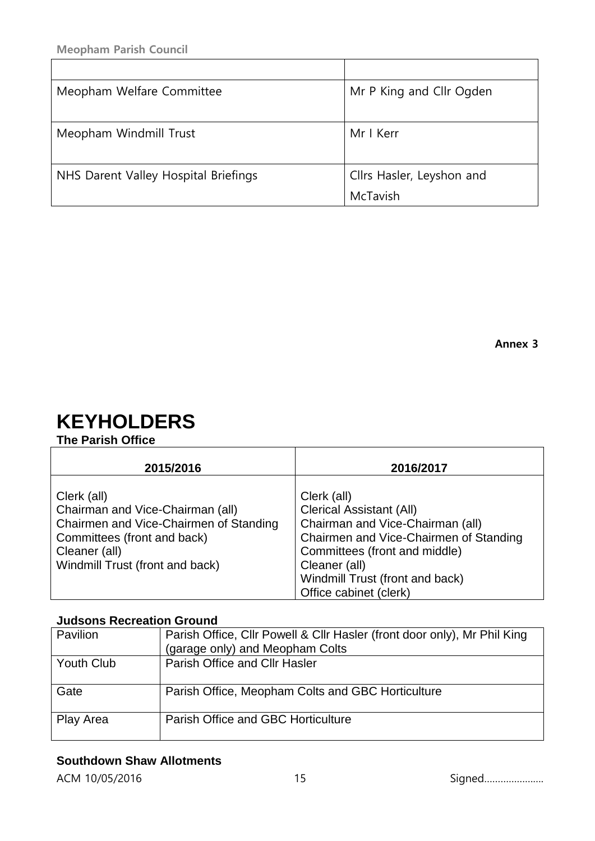| Meopham Welfare Committee            | Mr P King and Cllr Ogden  |
|--------------------------------------|---------------------------|
|                                      |                           |
| Meopham Windmill Trust               | Mr I Kerr                 |
|                                      |                           |
| NHS Darent Valley Hospital Briefings | Cllrs Hasler, Leyshon and |
|                                      | McTavish                  |

# **KEYHOLDERS**

# **The Parish Office**

| 2015/2016                                                                                                                                                                    | 2016/2017                                                                                                                                                                                                                                   |
|------------------------------------------------------------------------------------------------------------------------------------------------------------------------------|---------------------------------------------------------------------------------------------------------------------------------------------------------------------------------------------------------------------------------------------|
| Clerk (all)<br>Chairman and Vice-Chairman (all)<br>Chairmen and Vice-Chairmen of Standing<br>Committees (front and back)<br>Cleaner (all)<br>Windmill Trust (front and back) | Clerk (all)<br><b>Clerical Assistant (All)</b><br>Chairman and Vice-Chairman (all)<br>Chairmen and Vice-Chairmen of Standing<br>Committees (front and middle)<br>Cleaner (all)<br>Windmill Trust (front and back)<br>Office cabinet (clerk) |

# **Judsons Recreation Ground**

| Pavilion          | Parish Office, Cllr Powell & Cllr Hasler (front door only), Mr Phil King<br>(garage only) and Meopham Colts |
|-------------------|-------------------------------------------------------------------------------------------------------------|
| <b>Youth Club</b> | <b>Parish Office and Cllr Hasler</b>                                                                        |
| Gate              | Parish Office, Meopham Colts and GBC Horticulture                                                           |
| Play Area         | Parish Office and GBC Horticulture                                                                          |

# **Southdown Shaw Allotments**

ACM 10/05/2016 15 Signed………………….